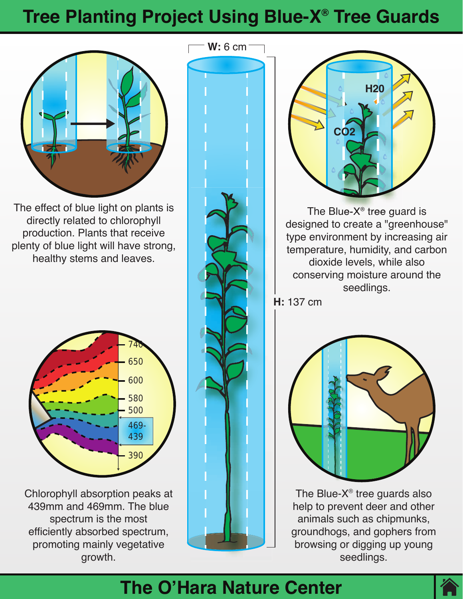# **Tree Planting Project Using Blue-X® Tree Guards**



The effect of blue light on plants is directly related to chlorophyll production. Plants that receive plenty of blue light will have strong, healthy stems and leaves.



Chlorophyll absorption peaks at 439mm and 469mm. The blue spectrum is the most efficiently absorbed spectrum, promoting mainly vegetative growth.





The Blue- $X^{\circledast}$  tree guard is designed to create a "greenhouse" type environment by increasing air temperature, humidity, and carbon dioxide levels, while also conserving moisture around the seedlings.

**H:** 137 cm



The Blue- $X^{\circledast}$  tree guards also help to prevent deer and other animals such as chipmunks, groundhogs, and gophers from browsing or digging up young seedlings.

### **The O'Hara Nature Center**

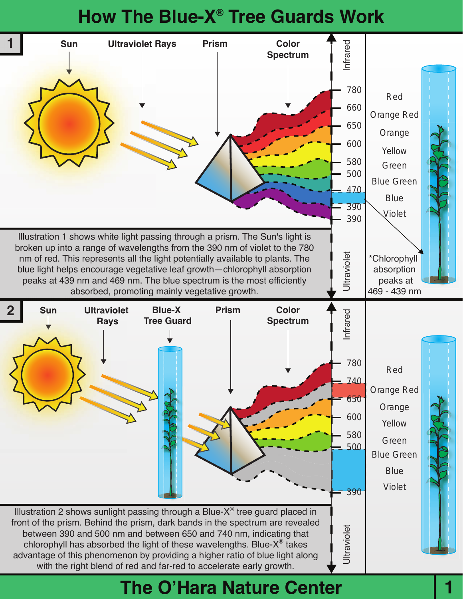## **How The Blue-X® Tree Guards Work**



#### **The O'Hara Nature Center**